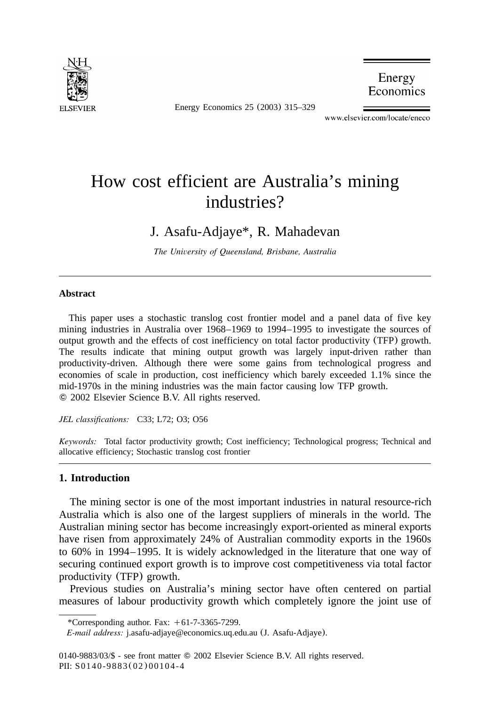

Energy Economics 25 (2003) 315–329

Energy Economics

www.elsevier.com/locate/eneco

## How cost efficient are Australia's mining industries?

J. Asafu-Adjaye\*, R. Mahadevan

*The University of Queensland, Brisbane, Australia*

## **Abstract**

This paper uses a stochastic translog cost frontier model and a panel data of five key mining industries in Australia over 1968–1969 to 1994–1995 to investigate the sources of output growth and the effects of cost inefficiency on total factor productivity (TFP) growth. The results indicate that mining output growth was largely input-driven rather than productivity-driven. Although there were some gains from technological progress and economies of scale in production, cost inefficiency which barely exceeded 1.1% since the mid-1970s in the mining industries was the main factor causing low TFP growth. 2002 Elsevier Science B.V. All rights reserved.

*JEL classifications:* C33; L72; O3; O56

*Keywords:* Total factor productivity growth; Cost inefficiency; Technological progress; Technical and allocative efficiency; Stochastic translog cost frontier

## **1. Introduction**

The mining sector is one of the most important industries in natural resource-rich Australia which is also one of the largest suppliers of minerals in the world. The Australian mining sector has become increasingly export-oriented as mineral exports have risen from approximately 24% of Australian commodity exports in the 1960s to 60% in 1994–1995. It is widely acknowledged in the literature that one way of securing continued export growth is to improve cost competitiveness via total factor productivity (TFP) growth.

Previous studies on Australia's mining sector have often centered on partial measures of labour productivity growth which completely ignore the joint use of

<sup>\*</sup>Corresponding author. Fax:  $+61-7-3365-7299$ .

*E-mail address:* j.asafu-adjaye@economics.uq.edu.au (J. Asafu-Adjaye).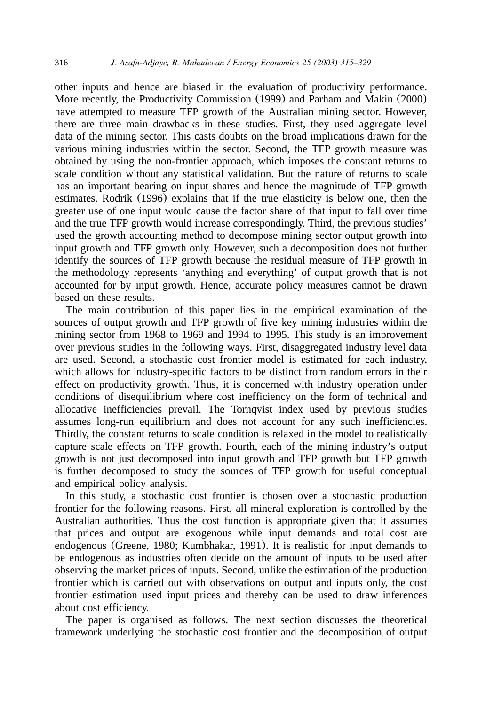other inputs and hence are biased in the evaluation of productivity performance. More recently, the [Productivity Commission](#page--1-0) (1999) and [Parham and Makin](#page--1-0) (2000) have attempted to measure TFP growth of the Australian mining sector. However, there are three main drawbacks in these studies. First, they used aggregate level data of the mining sector. This casts doubts on the broad implications drawn for the various mining industries within the sector. Second, the TFP growth measure was obtained by using the non-frontier approach, which imposes the constant returns to scale condition without any statistical validation. But the nature of returns to scale has an important bearing on input shares and hence the magnitude of TFP growth estimates. [Rodrik](#page--1-0) (1996) explains that if the true elasticity is below one, then the greater use of one input would cause the factor share of that input to fall over time and the true TFP growth would increase correspondingly. Third, the previous studies' used the growth accounting method to decompose mining sector output growth into input growth and TFP growth only. However, such a decomposition does not further identify the sources of TFP growth because the residual measure of TFP growth in the methodology represents 'anything and everything' of output growth that is not accounted for by input growth. Hence, accurate policy measures cannot be drawn based on these results.

The main contribution of this paper lies in the empirical examination of the sources of output growth and TFP growth of five key mining industries within the mining sector from 1968 to 1969 and 1994 to 1995. This study is an improvement over previous studies in the following ways. First, disaggregated industry level data are used. Second, a stochastic cost frontier model is estimated for each industry, which allows for industry-specific factors to be distinct from random errors in their effect on productivity growth. Thus, it is concerned with industry operation under conditions of disequilibrium where cost inefficiency on the form of technical and allocative inefficiencies prevail. The Tornqvist index used by previous studies assumes long-run equilibrium and does not account for any such inefficiencies. Thirdly, the constant returns to scale condition is relaxed in the model to realistically capture scale effects on TFP growth. Fourth, each of the mining industry's output growth is not just decomposed into input growth and TFP growth but TFP growth is further decomposed to study the sources of TFP growth for useful conceptual and empirical policy analysis.

In this study, a stochastic cost frontier is chosen over a stochastic production frontier for the following reasons. First, all mineral exploration is controlled by the Australian authorities. Thus the cost function is appropriate given that it assumes that prices and output are exogenous while input demands and total cost are endogenous ([Greene, 1980; Kumbhakar, 1991](#page--1-0)). It is realistic for input demands to be endogenous as industries often decide on the amount of inputs to be used after observing the market prices of inputs. Second, unlike the estimation of the production frontier which is carried out with observations on output and inputs only, the cost frontier estimation used input prices and thereby can be used to draw inferences about cost efficiency.

The paper is organised as follows. The next section discusses the theoretical framework underlying the stochastic cost frontier and the decomposition of output